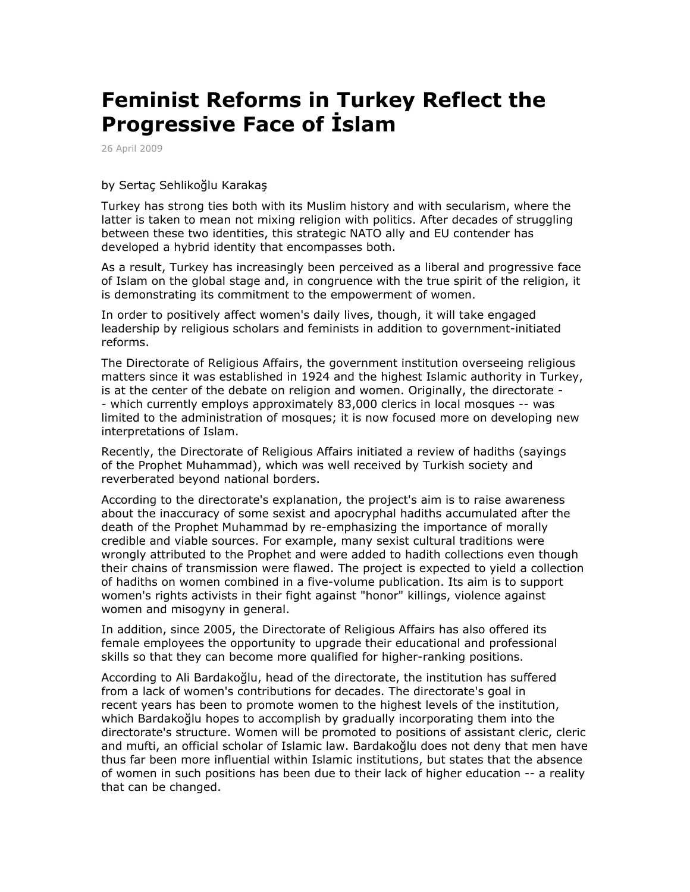## **Feminist Reforms in Turkey Reflect the Progressive Face of İslam**

26 April 2009

## by Sertaç Sehlikoğlu Karakaş

Turkey has strong ties both with its Muslim history and with secularism, where the latter is taken to mean not mixing religion with politics. After decades of struggling between these two identities, this strategic NATO ally and EU contender has developed a hybrid identity that encompasses both.

As a result, Turkey has increasingly been perceived as a liberal and progressive face of Islam on the global stage and, in congruence with the true spirit of the religion, it is demonstrating its commitment to the empowerment of women.

In order to positively affect women's daily lives, though, it will take engaged leadership by religious scholars and feminists in addition to government-initiated reforms.

The Directorate of Religious Affairs, the government institution overseeing religious matters since it was established in 1924 and the highest Islamic authority in Turkey, is at the center of the debate on religion and women. Originally, the directorate - - which currently employs approximately 83,000 clerics in local mosques -- was limited to the administration of mosques; it is now focused more on developing new interpretations of Islam.

Recently, the Directorate of Religious Affairs initiated a review of hadiths (sayings of the Prophet Muhammad), which was well received by Turkish society and reverberated beyond national borders.

According to the directorate's explanation, the project's aim is to raise awareness about the inaccuracy of some sexist and apocryphal hadiths accumulated after the death of the Prophet Muhammad by re-emphasizing the importance of morally credible and viable sources. For example, many sexist cultural traditions were wrongly attributed to the Prophet and were added to hadith collections even though their chains of transmission were flawed. The project is expected to yield a collection of hadiths on women combined in a five-volume publication. Its aim is to support women's rights activists in their fight against "honor" killings, violence against women and misogyny in general.

In addition, since 2005, the Directorate of Religious Affairs has also offered its female employees the opportunity to upgrade their educational and professional skills so that they can become more qualified for higher-ranking positions.

According to Ali Bardakoğlu, head of the directorate, the institution has suffered from a lack of women's contributions for decades. The directorate's goal in recent years has been to promote women to the highest levels of the institution, which Bardakoğlu hopes to accomplish by gradually incorporating them into the directorate's structure. Women will be promoted to positions of assistant cleric, cleric and mufti, an official scholar of Islamic law. Bardakoğlu does not deny that men have thus far been more influential within Islamic institutions, but states that the absence of women in such positions has been due to their lack of higher education -- a reality that can be changed.